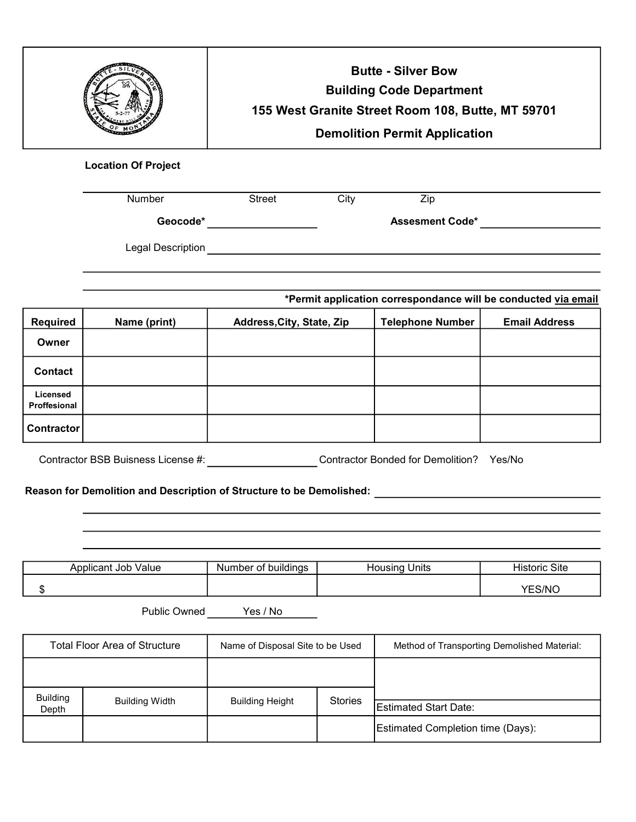|                |                            |                           | <b>Butte - Silver Bow</b><br><b>Building Code Department</b><br>155 West Granite Street Room 108, Butte, MT 59701<br><b>Demolition Permit Application</b> |                         |                                                                |
|----------------|----------------------------|---------------------------|-----------------------------------------------------------------------------------------------------------------------------------------------------------|-------------------------|----------------------------------------------------------------|
|                | <b>Location Of Project</b> |                           |                                                                                                                                                           |                         |                                                                |
|                | Number                     | <b>Street</b>             | City                                                                                                                                                      | Zip                     |                                                                |
|                |                            |                           | <b>Assesment Code*</b>                                                                                                                                    |                         |                                                                |
|                | Legal Description          |                           |                                                                                                                                                           |                         |                                                                |
|                |                            |                           |                                                                                                                                                           |                         | *Permit application correspondance will be conducted via email |
| Required       | Name (print)               | Address, City, State, Zip |                                                                                                                                                           | <b>Telephone Number</b> | <b>Email Address</b>                                           |
| Owner          |                            |                           |                                                                                                                                                           |                         |                                                                |
| <b>Contact</b> |                            |                           |                                                                                                                                                           |                         |                                                                |

| Licensed<br>Proffesional |  |  |
|--------------------------|--|--|
| Contractor               |  |  |
|                          |  |  |

Contractor BSB Buisness License #: Contractor Bonded for Demolition? Yes/No

Reason for Demolition and Description of Structure to be Demolished:

| <br>Job.<br>√alue<br>Applicant | <br>Number<br>* buildings<br>$\sim$<br>יט | <b>Inits</b> | . .<br>$\sim\cdot\cdot$<br>Site<br>oric<br>⊓ısu |
|--------------------------------|-------------------------------------------|--------------|-------------------------------------------------|
| $\cdot$                        |                                           |              | $\cap$ /Nic.<br>マロイ                             |

Public Owned Yes / No

| <b>Total Floor Area of Structure</b> |                       | Name of Disposal Site to be Used |                | Method of Transporting Demolished Material: |  |
|--------------------------------------|-----------------------|----------------------------------|----------------|---------------------------------------------|--|
|                                      |                       |                                  |                |                                             |  |
| <b>Building</b><br>Depth             | <b>Building Width</b> | <b>Building Height</b>           | <b>Stories</b> | Estimated Start Date:                       |  |
|                                      |                       |                                  |                | Estimated Completion time (Days):           |  |